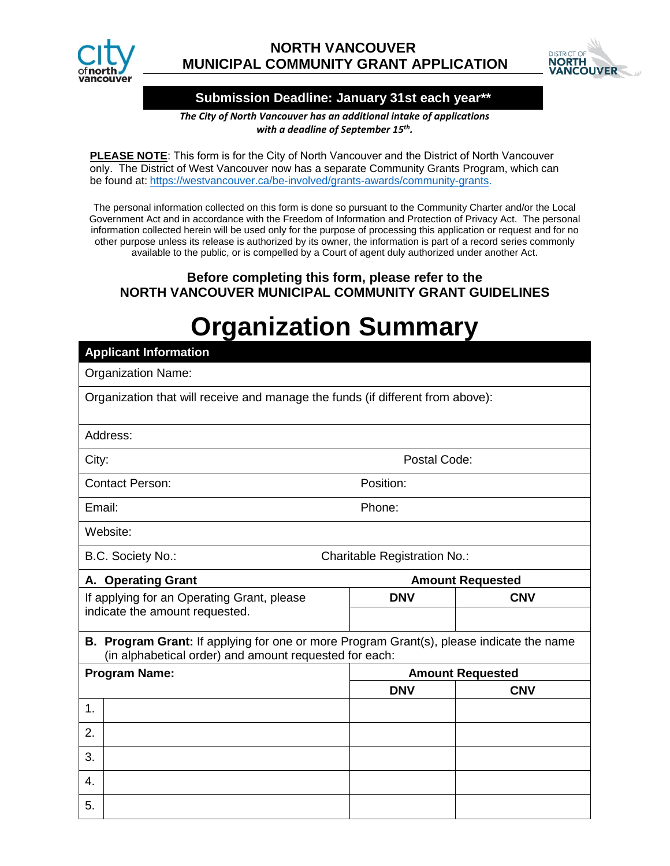

## **NORTH VANCOUVER MUNICIPAL COMMUNITY GRANT APPLICATION**



## **Submission Deadline: January 31st each year\*\***

*The City of North Vancouver has an additional intake of applications with a deadline of September 15th.* 

**PLEASE NOTE**: This form is for the City of North Vancouver and the District of North Vancouver only. The District of West Vancouver now has a separate Community [Grants Program, which can](https://westvancouver.ca/be-involved/grants-awards/community-grants)  [be fo](https://westvancouver.ca/be-involved/grants-awards/community-grants)und at: https://westvancouver.ca/be-involved/grants-awards/community-grants.

The personal information collected on this form is done so pursuant to the Community Charter and/or the Local Government Act and in accordance with the Freedom of Information and Protection of Privacy Act. The personal information collected herein will be used only for the purpose of processing this application or request and for no other purpose unless its release is authorized by its owner, the information is part of a record series commonly available to the public, or is compelled by a Court of agent duly authorized under another Act.

## **Before completing this form, please refer to the NORTH VANCOUVER MUNICIPAL COMMUNITY GRANT GUIDELINES**

## **Organization Summary**

| <b>Applicant Information</b>                                                                                                                              |                         |            |  |
|-----------------------------------------------------------------------------------------------------------------------------------------------------------|-------------------------|------------|--|
| <b>Organization Name:</b>                                                                                                                                 |                         |            |  |
| Organization that will receive and manage the funds (if different from above):                                                                            |                         |            |  |
| Address:                                                                                                                                                  |                         |            |  |
| Postal Code:<br>City:                                                                                                                                     |                         |            |  |
| Position:<br><b>Contact Person:</b>                                                                                                                       |                         |            |  |
| Email:<br>Phone:                                                                                                                                          |                         |            |  |
| Website:                                                                                                                                                  |                         |            |  |
| B.C. Society No.:<br><b>Charitable Registration No.:</b>                                                                                                  |                         |            |  |
| A. Operating Grant                                                                                                                                        | <b>Amount Requested</b> |            |  |
| If applying for an Operating Grant, please<br>indicate the amount requested.                                                                              | <b>DNV</b>              | <b>CNV</b> |  |
|                                                                                                                                                           |                         |            |  |
| <b>B. Program Grant:</b> If applying for one or more Program Grant(s), please indicate the name<br>(in alphabetical order) and amount requested for each: |                         |            |  |
| <b>Program Name:</b><br><b>Amount Requested</b>                                                                                                           |                         |            |  |
|                                                                                                                                                           | <b>DNV</b>              | <b>CNV</b> |  |
| 1.                                                                                                                                                        |                         |            |  |
| 2.                                                                                                                                                        |                         |            |  |
| 3.                                                                                                                                                        |                         |            |  |
| 4.                                                                                                                                                        |                         |            |  |
| 5.                                                                                                                                                        |                         |            |  |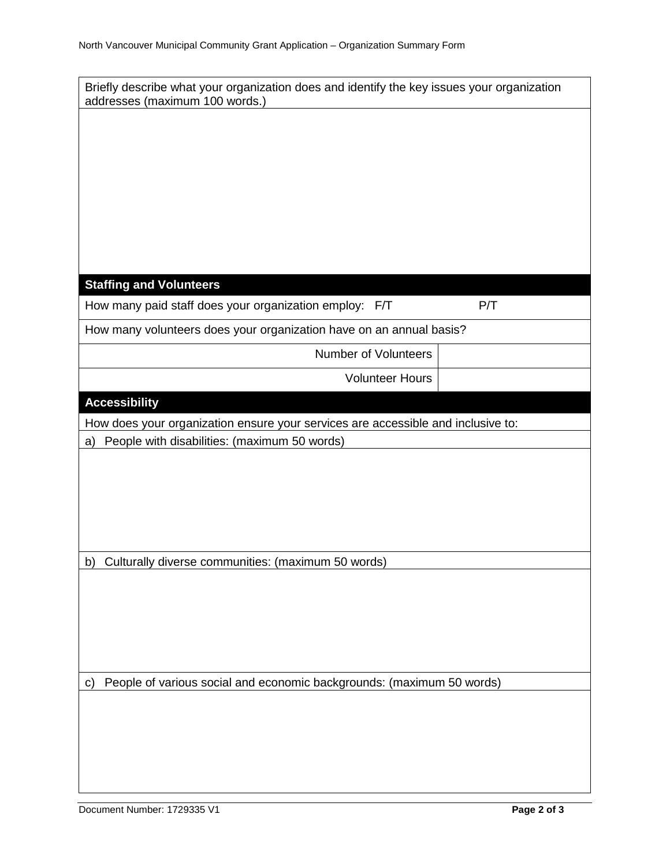| Briefly describe what your organization does and identify the key issues your organization<br>addresses (maximum 100 words.) |  |  |
|------------------------------------------------------------------------------------------------------------------------------|--|--|
|                                                                                                                              |  |  |
|                                                                                                                              |  |  |
|                                                                                                                              |  |  |
|                                                                                                                              |  |  |
|                                                                                                                              |  |  |
|                                                                                                                              |  |  |
|                                                                                                                              |  |  |
|                                                                                                                              |  |  |
|                                                                                                                              |  |  |
| <b>Staffing and Volunteers</b>                                                                                               |  |  |
| How many paid staff does your organization employ: F/T<br>P/T                                                                |  |  |
| How many volunteers does your organization have on an annual basis?                                                          |  |  |
| <b>Number of Volunteers</b>                                                                                                  |  |  |
| <b>Volunteer Hours</b>                                                                                                       |  |  |
| <b>Accessibility</b>                                                                                                         |  |  |
| How does your organization ensure your services are accessible and inclusive to:                                             |  |  |
| People with disabilities: (maximum 50 words)<br>a)                                                                           |  |  |
|                                                                                                                              |  |  |
|                                                                                                                              |  |  |
|                                                                                                                              |  |  |
|                                                                                                                              |  |  |
|                                                                                                                              |  |  |
| b) Culturally diverse communities: (maximum 50 words)                                                                        |  |  |
|                                                                                                                              |  |  |
|                                                                                                                              |  |  |
|                                                                                                                              |  |  |
|                                                                                                                              |  |  |
|                                                                                                                              |  |  |
| People of various social and economic backgrounds: (maximum 50 words)<br>$\mathsf{c}$                                        |  |  |
|                                                                                                                              |  |  |
|                                                                                                                              |  |  |
|                                                                                                                              |  |  |
|                                                                                                                              |  |  |
|                                                                                                                              |  |  |
|                                                                                                                              |  |  |